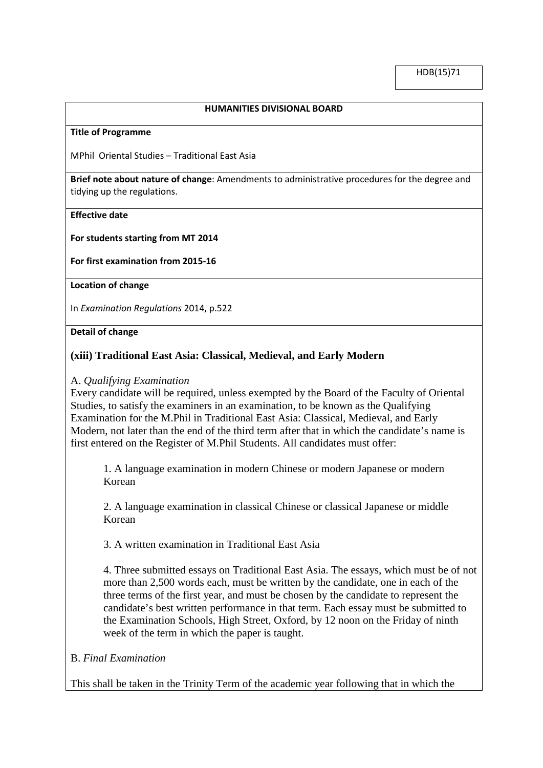#### **HUMANITIES DIVISIONAL BOARD**

#### **Title of Programme**

MPhil Oriental Studies – Traditional East Asia

**Brief note about nature of change**: Amendments to administrative procedures for the degree and tidying up the regulations.

## **Effective date**

## **For students starting from MT 2014**

# **For first examination from 2015-16**

#### **Location of change**

In *Examination Regulations* 2014, p.522

## **Detail of change**

# **(xiii) Traditional East Asia: Classical, Medieval, and Early Modern**

# A. *Qualifying Examination*

Every candidate will be required, unless exempted by the Board of the Faculty of Oriental Studies, to satisfy the examiners in an examination, to be known as the Qualifying Examination for the M.Phil in Traditional East Asia: Classical, Medieval, and Early Modern, not later than the end of the third term after that in which the candidate's name is first entered on the Register of M.Phil Students. All candidates must offer:

1. A language examination in modern Chinese or modern Japanese or modern Korean

2. A language examination in classical Chinese or classical Japanese or middle Korean

3. A written examination in Traditional East Asia

4. Three submitted essays on Traditional East Asia. The essays, which must be of not more than 2,500 words each, must be written by the candidate, one in each of the three terms of the first year, and must be chosen by the candidate to represent the candidate's best written performance in that term. Each essay must be submitted to the Examination Schools, High Street, Oxford, by 12 noon on the Friday of ninth week of the term in which the paper is taught.

# B. *Final Examination*

This shall be taken in the Trinity Term of the academic year following that in which the